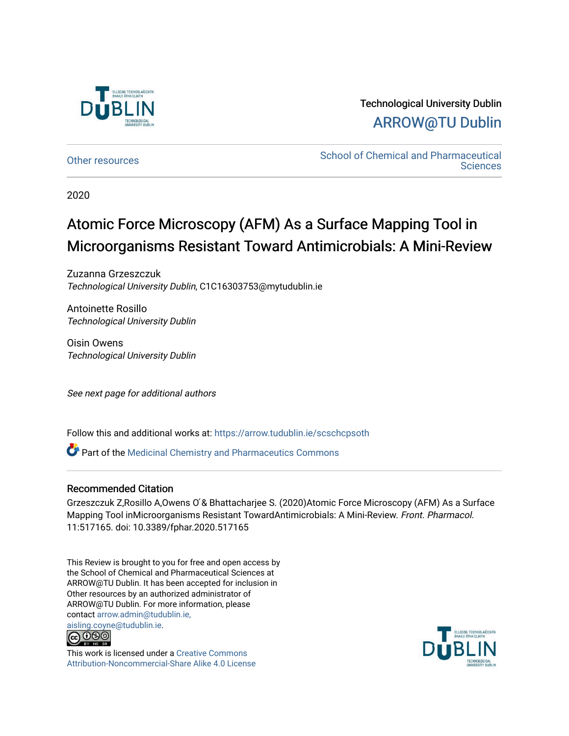

## Technological University Dublin [ARROW@TU Dublin](https://arrow.tudublin.ie/)

[Other resources](https://arrow.tudublin.ie/scschcpsoth) School of Chemical and Pharmaceutical<br>Cairmaceutical **Sciences** 

2020

## Atomic Force Microscopy (AFM) As a Surface Mapping Tool in Microorganisms Resistant Toward Antimicrobials: A Mini-Review

Zuzanna Grzeszczuk Technological University Dublin, C1C16303753@mytudublin.ie

Antoinette Rosillo Technological University Dublin

Oisin Owens Technological University Dublin

See next page for additional authors

Follow this and additional works at: [https://arrow.tudublin.ie/scschcpsoth](https://arrow.tudublin.ie/scschcpsoth?utm_source=arrow.tudublin.ie%2Fscschcpsoth%2F4&utm_medium=PDF&utm_campaign=PDFCoverPages) 

Part of the [Medicinal Chemistry and Pharmaceutics Commons](http://network.bepress.com/hgg/discipline/65?utm_source=arrow.tudublin.ie%2Fscschcpsoth%2F4&utm_medium=PDF&utm_campaign=PDFCoverPages)

## Recommended Citation

Grzeszczuk Z,Rosillo A,Owens O ́& Bhattacharjee S. (2020)Atomic Force Microscopy (AFM) As a Surface Mapping Tool inMicroorganisms Resistant TowardAntimicrobials: A Mini-Review. Front. Pharmacol. 11:517165. doi: 10.3389/fphar.2020.517165

This Review is brought to you for free and open access by the School of Chemical and Pharmaceutical Sciences at ARROW@TU Dublin. It has been accepted for inclusion in Other resources by an authorized administrator of ARROW@TU Dublin. For more information, please contact [arrow.admin@tudublin.ie,](mailto:arrow.admin@tudublin.ie,%20aisling.coyne@tudublin.ie)  [aisling.coyne@tudublin.ie.](mailto:arrow.admin@tudublin.ie,%20aisling.coyne@tudublin.ie)



This work is licensed under a [Creative Commons](http://creativecommons.org/licenses/by-nc-sa/4.0/) [Attribution-Noncommercial-Share Alike 4.0 License](http://creativecommons.org/licenses/by-nc-sa/4.0/)

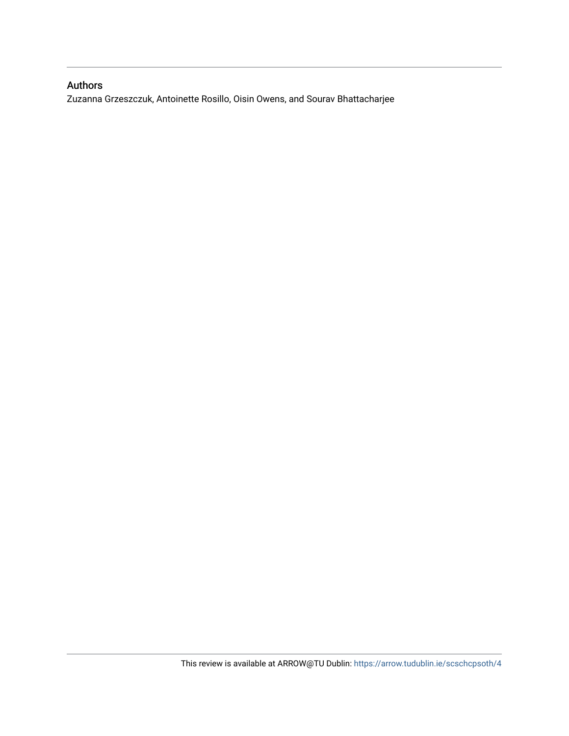## Authors

Zuzanna Grzeszczuk, Antoinette Rosillo, Oisin Owens, and Sourav Bhattacharjee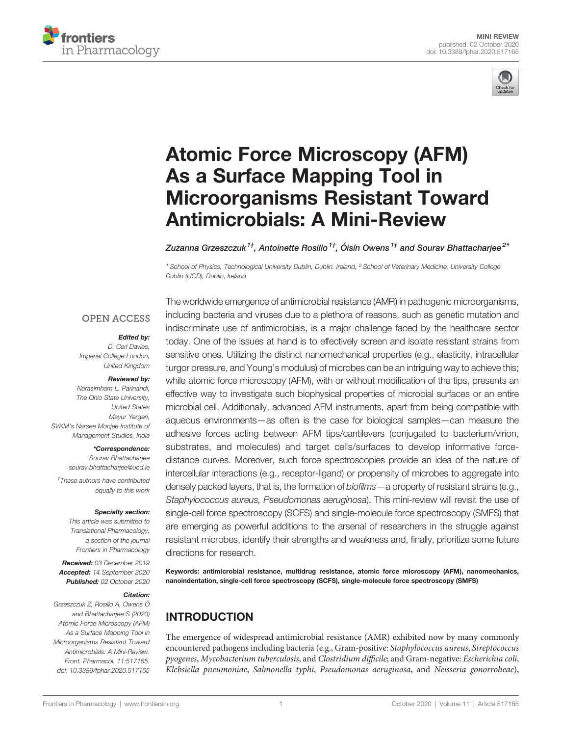



# [Atomic Force Microscopy \(AFM\)](https://www.frontiersin.org/articles/10.3389/fphar.2020.517165/full) [As a Surface Mapping Tool in](https://www.frontiersin.org/articles/10.3389/fphar.2020.517165/full) [Microorganisms Resistant Toward](https://www.frontiersin.org/articles/10.3389/fphar.2020.517165/full) [Antimicrobials: A Mini-Review](https://www.frontiersin.org/articles/10.3389/fphar.2020.517165/full)

Zuzanna Grzeszczuk $^{\text{1+}},$  Antoinette Rosillo $^{\text{1+}},$  Óisín Owens $^{\text{1+}}$  and Sourav Bhattacharjee $^{\text{2+}}$ 

<sup>1</sup> School of Physics, Technological University Dublin, Dublin, Ireland, <sup>2</sup> School of Veterinary Medicine, University College Dublin (UCD), Dublin, Ireland

#### **OPEN ACCESS**

#### Edited by:

D. Ceri Davies, Imperial College London, United Kingdom

#### Reviewed by:

Narasimham L. Parinandi, The Ohio State University, United States Mayur Yergeri, SVKM's Narsee Monjee Institute of Management Studies, India

\*Correspondence:

Sourav Bhattacharjee [sourav.bhattacharjee@ucd.ie](mailto:sourav.bhattacharjee@ucd.ie)

† These authors have contributed equally to this work

#### Specialty section:

This article was submitted to Translational Pharmacology, a section of the journal Frontiers in Pharmacology

Received: 03 December 2019 Accepted: 14 September 2020 Published: 02 October 2020

#### Citation:

Grzeszczuk Z, Rosillo A, Owens Ó and Bhattachariee S (2020) Atomic Force Microscopy (AFM) As a Surface Mapping Tool in Microorganisms Resistant Toward Antimicrobials: A Mini-Review. Front. Pharmacol. 11:517165. [doi: 10.3389/fphar.2020.517165](https://doi.org/10.3389/fphar.2020.517165)

The worldwide emergence of antimicrobial resistance (AMR) in pathogenic microorganisms, including bacteria and viruses due to a plethora of reasons, such as genetic mutation and indiscriminate use of antimicrobials, is a major challenge faced by the healthcare sector today. One of the issues at hand is to effectively screen and isolate resistant strains from sensitive ones. Utilizing the distinct nanomechanical properties (e.g., elasticity, intracellular turgor pressure, and Young's modulus) of microbes can be an intriguing way to achieve this; while atomic force microscopy (AFM), with or without modification of the tips, presents an effective way to investigate such biophysical properties of microbial surfaces or an entire microbial cell. Additionally, advanced AFM instruments, apart from being compatible with aqueous environments—as often is the case for biological samples—can measure the adhesive forces acting between AFM tips/cantilevers (conjugated to bacterium/virion, substrates, and molecules) and target cells/surfaces to develop informative forcedistance curves. Moreover, such force spectroscopies provide an idea of the nature of intercellular interactions (e.g., receptor-ligand) or propensity of microbes to aggregate into densely packed layers, that is, the formation of biofilms — a property of resistant strains (e.g., Staphylococcus aureus, Pseudomonas aeruginosa). This mini-review will revisit the use of single-cell force spectroscopy (SCFS) and single-molecule force spectroscopy (SMFS) that are emerging as powerful additions to the arsenal of researchers in the struggle against resistant microbes, identify their strengths and weakness and, finally, prioritize some future directions for research.

Keywords: antimicrobial resistance, multidrug resistance, atomic force microscopy (AFM), nanomechanics, nanoindentation, single-cell force spectroscopy (SCFS), single-molecule force spectroscopy (SMFS)

## INTRODUCTION

The emergence of widespread antimicrobial resistance (AMR) exhibited now by many commonly encountered pathogens including bacteria (e.g., Gram-positive: Staphylococcus aureus, Streptococcus pyogenes, Mycobacterium tuberculosis, and Clostridium difficile; and Gram-negative: Escherichia coli, Klebsiella pneumoniae, Salmonella typhi, Pseudomonas aeruginosa, and Neisseria gonorroheae),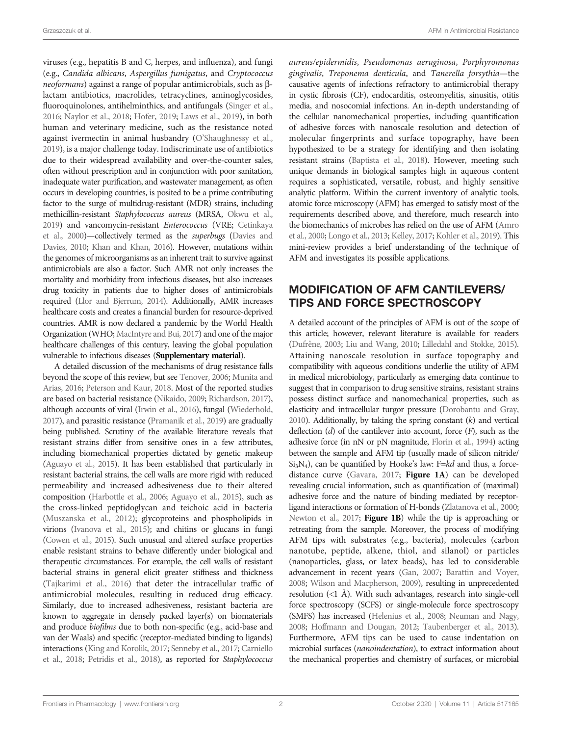viruses (e.g., hepatitis B and C, herpes, and influenza), and fungi (e.g., Candida albicans, Aspergillus fumigatus, and Cryptococcus  $neoformans$ ) against a range of popular antimicrobials, such as  $\beta$ lactam antibiotics, macrolides, tetracyclines, aminoglycosides, fluoroquinolones, antihelminthics, and antifungals [\(Singer et al.,](#page-9-0) [2016](#page-9-0); [Naylor et al., 2018](#page-8-0); [Hofer, 2019;](#page-7-0) [Laws et al., 2019\)](#page-8-0), in both human and veterinary medicine, such as the resistance noted against ivermectin in animal husbandry (O'[Shaughnessy et al.,](#page-8-0) [2019](#page-8-0)), is a major challenge today. Indiscriminate use of antibiotics due to their widespread availability and over-the-counter sales, often without prescription and in conjunction with poor sanitation, inadequate water purification, and wastewater management, as often occurs in developing countries, is posited to be a prime contributing factor to the surge of multidrug-resistant (MDR) strains, including methicillin-resistant Staphylococcus aureus (MRSA, [Okwu et al.,](#page-8-0) [2019](#page-8-0)) and vancomycin-resistant Enterococcus (VRE; [Cetinkaya](#page-7-0) [et al., 2000\)](#page-7-0)—collectively termed as the superbugs [\(Davies and](#page-7-0) [Davies, 2010;](#page-7-0) [Khan and Khan, 2016](#page-8-0)). However, mutations within the genomes of microorganisms as an inherent trait to survive against antimicrobials are also a factor. Such AMR not only increases the mortality and morbidity from infectious diseases, but also increases drug toxicity in patients due to higher doses of antimicrobials required [\(Llor and Bjerrum, 2014\)](#page-8-0). Additionally, AMR increases healthcare costs and creates a financial burden for resource-deprived countries. AMR is now declared a pandemic by the World Health Organization (WHO; [MacIntyre and Bui, 2017\)](#page-8-0) and one of the major healthcare challenges of this century, leaving the global population

vulnerable to infectious diseases ([Supplementary material](#page-6-0)). A detailed discussion of the mechanisms of drug resistance falls beyond the scope of this review, but see [Tenover, 2006;](#page-9-0) [Munita and](#page-8-0) [Arias, 2016](#page-8-0); [Peterson and Kaur, 2018](#page-8-0). Most of the reported studies are based on bacterial resistance [\(Nikaido, 2009;](#page-8-0) [Richardson, 2017\)](#page-8-0), although accounts of viral [\(Irwin et al., 2016\)](#page-7-0), fungal [\(Wiederhold,](#page-9-0) [2017\)](#page-9-0), and parasitic resistance ([Pramanik et al., 2019](#page-8-0)) are gradually being published. Scrutiny of the available literature reveals that resistant strains differ from sensitive ones in a few attributes, including biomechanical properties dictated by genetic makeup [\(Aguayo et al., 2015](#page-7-0)). It has been established that particularly in resistant bacterial strains, the cell walls are more rigid with reduced permeability and increased adhesiveness due to their altered composition [\(Harbottle et al., 2006;](#page-7-0) [Aguayo et al., 2015](#page-7-0)), such as the cross-linked peptidoglycan and teichoic acid in bacteria ([Muszanska et al., 2012](#page-8-0)); glycoproteins and phospholipids in virions [\(Ivanova et al., 2015\)](#page-8-0); and chitins or glucans in fungi [\(Cowen et al., 2015\)](#page-7-0). Such unusual and altered surface properties enable resistant strains to behave differently under biological and therapeutic circumstances. For example, the cell walls of resistant bacterial strains in general elicit greater stiffness and thickness ([Tajkarimi et al., 2016](#page-9-0)) that deter the intracellular traffic of antimicrobial molecules, resulting in reduced drug efficacy. Similarly, due to increased adhesiveness, resistant bacteria are known to aggregate in densely packed layer(s) on biomaterials and produce biofilms due to both non-specific (e.g., acid-base and van der Waals) and specific (receptor-mediated binding to ligands) interactions [\(King and Korolik, 2017](#page-8-0); [Senneby et al., 2017;](#page-8-0) [Carniello](#page-7-0) [et al., 2018](#page-7-0); [Petridis et al., 2018\)](#page-8-0), as reported for Staphylococcus

aureus/epidermidis, Pseudomonas aeruginosa, Porphyromonas gingivalis, Treponema denticula, and Tanerella forsythia—the causative agents of infections refractory to antimicrobial therapy in cystic fibrosis (CF), endocarditis, osteomyelitis, sinusitis, otitis media, and nosocomial infections. An in-depth understanding of the cellular nanomechanical properties, including quantification of adhesive forces with nanoscale resolution and detection of molecular fingerprints and surface topography, have been hypothesized to be a strategy for identifying and then isolating resistant strains ([Baptista et al., 2018\)](#page-7-0). However, meeting such unique demands in biological samples high in aqueous content requires a sophisticated, versatile, robust, and highly sensitive analytic platform. Within the current inventory of analytic tools, atomic force microscopy (AFM) has emerged to satisfy most of the requirements described above, and therefore, much research into the biomechanics of microbes has relied on the use of AFM [\(Amro](#page-7-0) [et al., 2000;](#page-7-0) [Longo et al., 2013;](#page-8-0) [Kelley, 2017](#page-8-0); [Kohler et al., 2019\)](#page-8-0). This mini-review provides a brief understanding of the technique of AFM and investigates its possible applications.

## MODIFICATION OF AFM CANTILEVERS/ TIPS AND FORCE SPECTROSCOPY

A detailed account of the principles of AFM is out of the scope of this article; however, relevant literature is available for readers (Dufrêne, 2003; [Liu and Wang, 2010](#page-8-0); [Lilledahl and Stokke, 2015\)](#page-8-0). Attaining nanoscale resolution in surface topography and compatibility with aqueous conditions underlie the utility of AFM in medical microbiology, particularly as emerging data continue to suggest that in comparison to drug sensitive strains, resistant strains possess distinct surface and nanomechanical properties, such as elasticity and intracellular turgor pressure ([Dorobantu and Gray,](#page-7-0)  $2010$ ). Additionally, by taking the spring constant  $(k)$  and vertical deflection  $(d)$  of the cantilever into account, force  $(F)$ , such as the adhesive force (in nN or pN magnitude, [Florin et al., 1994\)](#page-7-0) acting between the sample and AFM tip (usually made of silicon nitride/  $Si<sub>3</sub>N<sub>4</sub>$ ), can be quantified by Hooke's law: F=kd and thus, a forcedistance curve ([Gavara, 2017;](#page-7-0) [Figure 1A](#page-4-0)) can be developed revealing crucial information, such as quantification of (maximal) adhesive force and the nature of binding mediated by receptorligand interactions or formation of H-bonds [\(Zlatanova et al., 2000;](#page-9-0) [Newton et al., 2017](#page-8-0); [Figure 1B](#page-4-0)) while the tip is approaching or retreating from the sample. Moreover, the process of modifying AFM tips with substrates (e.g., bacteria), molecules (carbon nanotube, peptide, alkene, thiol, and silanol) or particles (nanoparticles, glass, or latex beads), has led to considerable advancement in recent years ([Gan, 2007;](#page-7-0) [Barattin and Voyer,](#page-7-0) [2008;](#page-7-0) [Wilson and Macpherson, 2009\)](#page-9-0), resulting in unprecedented resolution (<1 Å). With such advantages, research into single-cell force spectroscopy (SCFS) or single-molecule force spectroscopy (SMFS) has increased ([Helenius et al., 2008](#page-7-0); [Neuman and Nagy,](#page-8-0) [2008;](#page-8-0) [Hoffmann and Dougan, 2012;](#page-7-0) [Taubenberger et al., 2013\)](#page-9-0). Furthermore, AFM tips can be used to cause indentation on microbial surfaces (nanoindentation), to extract information about the mechanical properties and chemistry of surfaces, or microbial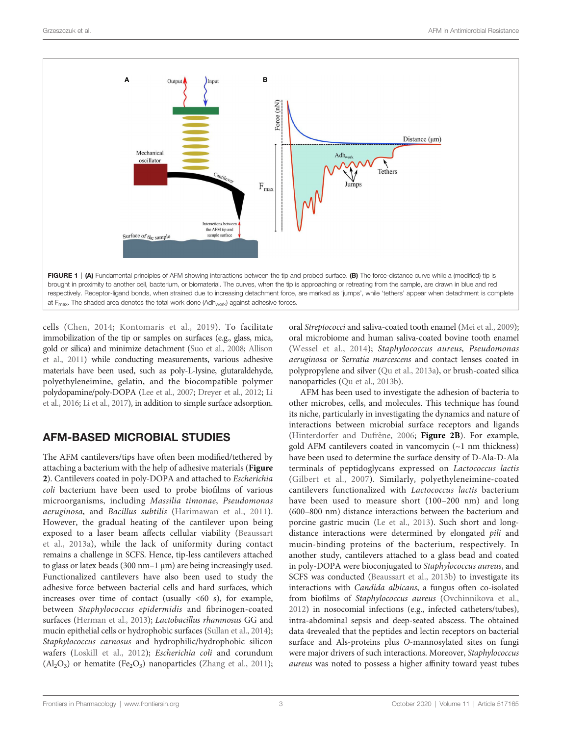<span id="page-4-0"></span>

cells [\(Chen, 2014](#page-7-0); [Kontomaris et al., 2019\)](#page-8-0). To facilitate immobilization of the tip or samples on surfaces (e.g., glass, mica, gold or silica) and minimize detachment ([Suo et al., 2008](#page-9-0); [Allison](#page-7-0) [et al., 2011](#page-7-0)) while conducting measurements, various adhesive materials have been used, such as poly-L-lysine, glutaraldehyde, polyethyleneimine, gelatin, and the biocompatible polymer polydopamine/poly-DOPA [\(Lee et al., 2007;](#page-8-0) [Dreyer et al., 2012](#page-7-0); [Li](#page-8-0) [et al., 2016;](#page-8-0) [Li et al., 2017\)](#page-8-0), in addition to simple surface adsorption.

## AFM-BASED MICROBIAL STUDIES

The AFM cantilevers/tips have often been modified/tethered by attaching a bacterium with the help of adhesive materials ([Figure](#page-5-0) [2](#page-5-0)). Cantilevers coated in poly-DOPA and attached to Escherichia coli bacterium have been used to probe biofilms of various microorganisms, including Massilia timonae, Pseudomonas aeruginosa, and Bacillus subtilis [\(Harimawan et al., 2011\)](#page-7-0). However, the gradual heating of the cantilever upon being exposed to a laser beam affects cellular viability [\(Beaussart](#page-7-0) [et al., 2013a](#page-7-0)), while the lack of uniformity during contact remains a challenge in SCFS. Hence, tip-less cantilevers attached to glass or latex beads (300 nm–1 µm) are being increasingly used. Functionalized cantilevers have also been used to study the adhesive force between bacterial cells and hard surfaces, which increases over time of contact (usually  $<60$  s), for example, between Staphylococcus epidermidis and fibrinogen-coated surfaces [\(Herman et al., 2013](#page-7-0)); Lactobacillus rhamnosus GG and mucin epithelial cells or hydrophobic surfaces ([Sullan et al., 2014\)](#page-9-0); Staphylococcus carnosus and hydrophilic/hydrophobic silicon wafers ([Loskill et al., 2012](#page-8-0)); Escherichia coli and corundum  $(Al<sub>2</sub>O<sub>3</sub>)$  or hematite (Fe<sub>2</sub>O<sub>3</sub>) nanoparticles [\(Zhang et al., 2011\)](#page-9-0); oral Streptococci and saliva-coated tooth enamel ([Mei et al., 2009\)](#page-8-0); oral microbiome and human saliva-coated bovine tooth enamel ([Wessel et al., 2014\)](#page-9-0); Staphylococcus aureus, Pseudomonas aeruginosa or Serratia marcescens and contact lenses coated in polypropylene and silver ([Qu et al., 2013a\)](#page-8-0), or brush-coated silica nanoparticles [\(Qu et al., 2013b\)](#page-8-0).

AFM has been used to investigate the adhesion of bacteria to other microbes, cells, and molecules. This technique has found its niche, particularly in investigating the dynamics and nature of interactions between microbial surface receptors and ligands (Hinterdorfer and Dufrêne, 2006; [Figure 2B](#page-5-0)). For example, gold AFM cantilevers coated in vancomycin (~1 nm thickness) have been used to determine the surface density of D-Ala-D-Ala terminals of peptidoglycans expressed on Lactococcus lactis ([Gilbert et al., 2007\)](#page-7-0). Similarly, polyethyleneimine-coated cantilevers functionalized with Lactococcus lactis bacterium have been used to measure short (100–200 nm) and long (600–800 nm) distance interactions between the bacterium and porcine gastric mucin [\(Le et al., 2013](#page-8-0)). Such short and longdistance interactions were determined by elongated pili and mucin-binding proteins of the bacterium, respectively. In another study, cantilevers attached to a glass bead and coated in poly-DOPA were bioconjugated to Staphylococcus aureus, and SCFS was conducted [\(Beaussart et al., 2013b\)](#page-7-0) to investigate its interactions with Candida albicans, a fungus often co-isolated from biofilms of Staphylococcus aureus ([Ovchinnikova et al.,](#page-8-0) [2012](#page-8-0)) in nosocomial infections (e.g., infected catheters/tubes), intra-abdominal sepsis and deep-seated abscess. The obtained data 4revealed that the peptides and lectin receptors on bacterial surface and Als-proteins plus O-mannosylated sites on fungi were major drivers of such interactions. Moreover, Staphylococcus aureus was noted to possess a higher affinity toward yeast tubes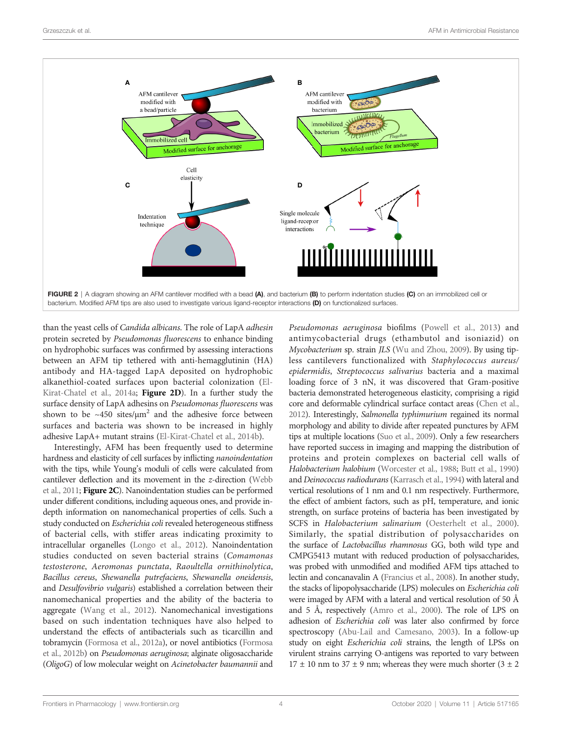<span id="page-5-0"></span>

than the yeast cells of Candida albicans. The role of LapA adhesin protein secreted by Pseudomonas fluorescens to enhance binding on hydrophobic surfaces was confirmed by assessing interactions between an AFM tip tethered with anti-hemagglutinin (HA) antibody and HA-tagged LapA deposited on hydrophobic alkanethiol-coated surfaces upon bacterial colonization ([El-](#page-7-0)[Kirat-Chatel et al., 2014a;](#page-7-0) Figure 2D). In a further study the surface density of LapA adhesins on Pseudomonas fluorescens was shown to be  $\sim$ 450 sites/ $\mu$ m<sup>2</sup> and the adhesive force between surfaces and bacteria was shown to be increased in highly adhesive LapA+ mutant strains [\(El-Kirat-Chatel et al., 2014b](#page-7-0)).

Interestingly, AFM has been frequently used to determine hardness and elasticity of cell surfaces by inflicting nanoindentation with the tips, while Young's moduli of cells were calculated from cantilever deflection and its movement in the z-direction [\(Webb](#page-9-0) [et al., 2011;](#page-9-0) Figure 2C). Nanoindentation studies can be performed under different conditions, including aqueous ones, and provide indepth information on nanomechanical properties of cells. Such a study conducted on Escherichia coli revealed heterogeneous stiffness of bacterial cells, with stiffer areas indicating proximity to intracellular organelles [\(Longo et al., 2012\)](#page-8-0). Nanoindentation studies conducted on seven bacterial strains (Comamonas testosterone, Aeromonas punctata, Raoultella ornithinolytica, Bacillus cereus, Shewanella putrefaciens, Shewanella oneidensis, and Desulfovibrio vulgaris) established a correlation between their nanomechanical properties and the ability of the bacteria to aggregate [\(Wang et al., 2012](#page-9-0)). Nanomechanical investigations based on such indentation techniques have also helped to understand the effects of antibacterials such as ticarcillin and tobramycin [\(Formosa et al., 2012a](#page-7-0)), or novel antibiotics [\(Formosa](#page-7-0) [et al., 2012b](#page-7-0)) on Pseudomonas aeruginosa; alginate oligosaccharide (OligoG) of low molecular weight on Acinetobacter baumannii and

Pseudomonas aeruginosa biofilms ([Powell et al., 2013](#page-8-0)) and antimycobacterial drugs (ethambutol and isoniazid) on Mycobacterium sp. strain JLS [\(Wu and Zhou, 2009](#page-9-0)). By using tipless cantilevers functionalized with Staphylococcus aureus/ epidermidis, Streptococcus salivarius bacteria and a maximal loading force of 3 nN, it was discovered that Gram-positive bacteria demonstrated heterogeneous elasticity, comprising a rigid core and deformable cylindrical surface contact areas ([Chen et al.,](#page-7-0) [2012\)](#page-7-0). Interestingly, Salmonella typhimurium regained its normal morphology and ability to divide after repeated punctures by AFM tips at multiple locations ([Suo et al., 2009](#page-9-0)). Only a few researchers have reported success in imaging and mapping the distribution of proteins and protein complexes on bacterial cell walls of Halobacterium halobium [\(Worcester et al., 1988;](#page-9-0) [Butt et al., 1990\)](#page-7-0) and Deinococcus radiodurans ([Karrasch et al., 1994\)](#page-8-0) with lateral and vertical resolutions of 1 nm and 0.1 nm respectively. Furthermore, the effect of ambient factors, such as pH, temperature, and ionic strength, on surface proteins of bacteria has been investigated by SCFS in Halobacterium salinarium ([Oesterhelt et al., 2000\)](#page-8-0). Similarly, the spatial distribution of polysaccharides on the surface of Lactobacillus rhamnosus GG, both wild type and CMPG5413 mutant with reduced production of polysaccharides, was probed with unmodified and modified AFM tips attached to lectin and concanavalin A ([Francius et al., 2008](#page-7-0)). In another study, the stacks of lipopolysaccharide (LPS) molecules on Escherichia coli were imaged by AFM with a lateral and vertical resolution of 50 Å and 5 Å, respectively [\(Amro et al., 2000\)](#page-7-0). The role of LPS on adhesion of Escherichia coli was later also confirmed by force spectroscopy [\(Abu-Lail and Camesano, 2003](#page-7-0)). In a follow-up study on eight Escherichia coli strains, the length of LPSs on virulent strains carrying O-antigens was reported to vary between  $17 \pm 10$  nm to  $37 \pm 9$  nm; whereas they were much shorter  $(3 \pm 2)$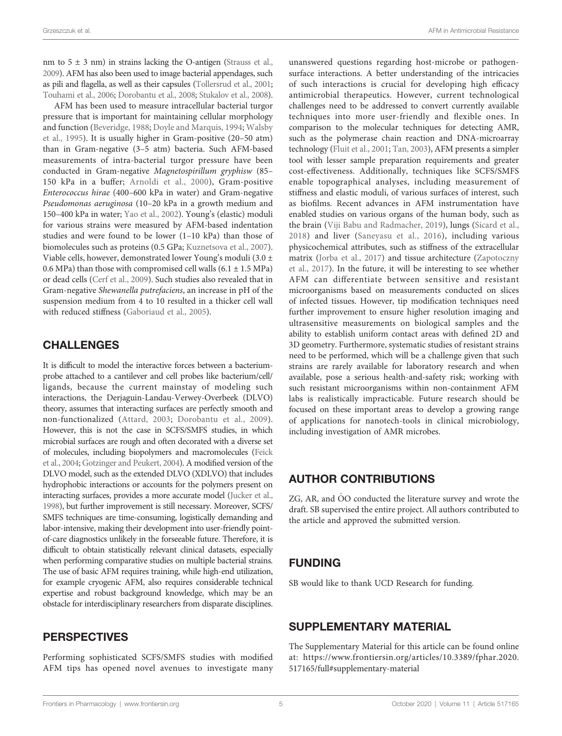<span id="page-6-0"></span>nm to  $5 \pm 3$  nm) in strains lacking the O-antigen [\(Strauss et al.,](#page-9-0) [2009\)](#page-9-0). AFM has also been used to image bacterial appendages, such as pili and flagella, as well as their capsules [\(Tollersrud et al., 2001](#page-9-0); [Touhami et al., 2006;](#page-9-0) [Dorobantu et al., 2008;](#page-7-0) [Stukalov et al., 2008\)](#page-9-0).

AFM has been used to measure intracellular bacterial turgor pressure that is important for maintaining cellular morphology and function ([Beveridge, 1988](#page-7-0); [Doyle and Marquis, 1994;](#page-7-0) [Walsby](#page-9-0) [et al., 1995\)](#page-9-0). It is usually higher in Gram-positive (20–50 atm) than in Gram-negative (3–5 atm) bacteria. Such AFM-based measurements of intra-bacterial turgor pressure have been conducted in Gram-negative Magnetospirillum gryphisw (85– 150 kPa in a buffer; [Arnoldi et al., 2000](#page-7-0)), Gram-positive Enterococcus hirae (400–600 kPa in water) and Gram-negative Pseudomonas aeruginosa (10–20 kPa in a growth medium and 150–400 kPa in water; [Yao et al., 2002](#page-9-0)). Young's (elastic) moduli for various strains were measured by AFM-based indentation studies and were found to be lower (1–10 kPa) than those of biomolecules such as proteins (0.5 GPa; [Kuznetsova et al., 2007\)](#page-8-0). Viable cells, however, demonstrated lower Young's moduli (3.0 ± 0.6 MPa) than those with compromised cell walls  $(6.1 \pm 1.5 \text{ MPa})$ or dead cells ([Cerf et al., 2009\)](#page-7-0). Such studies also revealed that in Gram-negative Shewanella putrefaciens, an increase in pH of the suspension medium from 4 to 10 resulted in a thicker cell wall with reduced stiffness ([Gaboriaud et al., 2005\)](#page-7-0).

### CHALLENGES

It is difficult to model the interactive forces between a bacteriumprobe attached to a cantilever and cell probes like bacterium/cell/ ligands, because the current mainstay of modeling such interactions, the Derjaguin-Landau-Verwey-Overbeek (DLVO) theory, assumes that interacting surfaces are perfectly smooth and non-functionalized ([Attard, 2003;](#page-7-0) [Dorobantu et al., 2009\)](#page-7-0). However, this is not the case in SCFS/SMFS studies, in which microbial surfaces are rough and often decorated with a diverse set of molecules, including biopolymers and macromolecules [\(Feick](#page-7-0) [et al., 2004](#page-7-0); [Gotzinger and Peukert, 2004](#page-7-0)). A modified version of the DLVO model, such as the extended DLVO (XDLVO) that includes hydrophobic interactions or accounts for the polymers present on interacting surfaces, provides a more accurate model [\(Jucker et al.,](#page-8-0) [1998\)](#page-8-0), but further improvement is still necessary. Moreover, SCFS/ SMFS techniques are time-consuming, logistically demanding and labor-intensive, making their development into user-friendly pointof-care diagnostics unlikely in the forseeable future. Therefore, it is difficult to obtain statistically relevant clinical datasets, especially when performing comparative studies on multiple bacterial strains. The use of basic AFM requires training, while high-end utilization, for example cryogenic AFM, also requires considerable technical expertise and robust background knowledge, which may be an obstacle for interdisciplinary researchers from disparate disciplines.

**PERSPECTIVES** 

Performing sophisticated SCFS/SMFS studies with modified AFM tips has opened novel avenues to investigate many

unanswered questions regarding host-microbe or pathogensurface interactions. A better understanding of the intricacies of such interactions is crucial for developing high efficacy antimicrobial therapeutics. However, current technological challenges need to be addressed to convert currently available techniques into more user-friendly and flexible ones. In comparison to the molecular techniques for detecting AMR, such as the polymerase chain reaction and DNA-microarray technology ([Fluit et al., 2001;](#page-7-0) [Tan, 2003](#page-9-0)), AFM presents a simpler tool with lesser sample preparation requirements and greater cost-effectiveness. Additionally, techniques like SCFS/SMFS enable topographical analyses, including measurement of stiffness and elastic moduli, of various surfaces of interest, such as biofilms. Recent advances in AFM instrumentation have enabled studies on various organs of the human body, such as the brain ([Viji Babu and Radmacher, 2019](#page-9-0)), lungs [\(Sicard et al.,](#page-9-0) [2018](#page-9-0)) and liver [\(Saneyasu et al., 2016\)](#page-8-0), including various physicochemical attributes, such as stiffness of the extracellular matrix [\(Jorba et al., 2017](#page-8-0)) and tissue architecture [\(Zapotoczny](#page-9-0) [et al., 2017](#page-9-0)). In the future, it will be interesting to see whether AFM can differentiate between sensitive and resistant microorganisms based on measurements conducted on slices of infected tissues. However, tip modification techniques need further improvement to ensure higher resolution imaging and ultrasensitive measurements on biological samples and the ability to establish uniform contact areas with defined 2D and 3D geometry. Furthermore, systematic studies of resistant strains need to be performed, which will be a challenge given that such strains are rarely available for laboratory research and when available, pose a serious health-and-safety risk; working with such resistant microorganisms within non-containment AFM labs is realistically impracticable. Future research should be focused on these important areas to develop a growing range of applications for nanotech-tools in clinical microbiology, including investigation of AMR microbes.

## AUTHOR CONTRIBUTIONS

ZG, AR, and ÓO conducted the literature survey and wrote the draft. SB supervised the entire project. All authors contributed to the article and approved the submitted version.

### FUNDING

SB would like to thank UCD Research for funding.

## SUPPLEMENTARY MATERIAL

The Supplementary Material for this article can be found online at: [https://www.frontiersin.org/articles/10.3389/fphar.2020.](https://www.frontiersin.org/articles/10.3389/fphar.2020.517165/full#supplementary-material) [517165/full#supplementary-material](https://www.frontiersin.org/articles/10.3389/fphar.2020.517165/full#supplementary-material)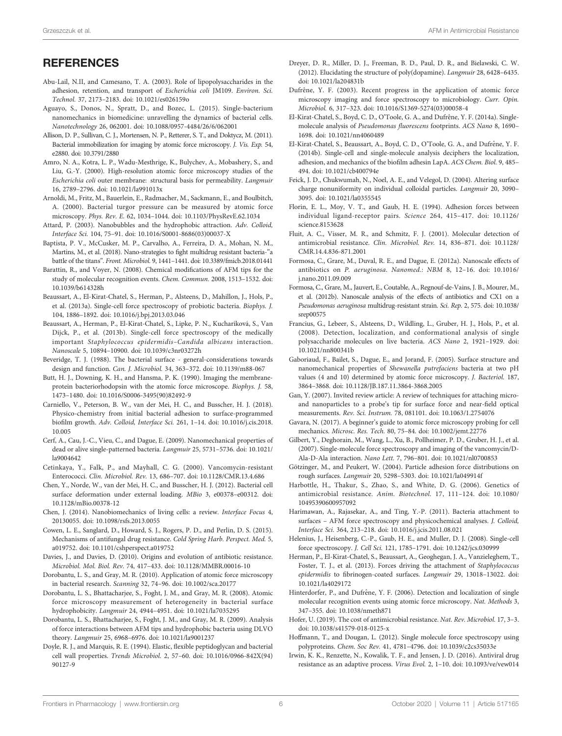## <span id="page-7-0"></span>**REFERENCES**

- Abu-Lail, N.II, and Camesano, T. A. (2003). Role of lipopolysaccharides in the adhesion, retention, and transport of Escherichia coli JM109. Environ. Sci. Technol. 37, 2173–2183. doi: [10.1021/es026159o](https://doi.org/10.1021/es026159o)
- Aguayo, S., Donos, N., Spratt, D., and Bozec, L. (2015). Single-bacterium nanomechanics in biomedicine: unravelling the dynamics of bacterial cells. Nanotechnology 26, 062001. doi: [10.1088/0957-4484/26/6/062001](https://doi.org/10.1088/0957-4484/26/6/062001)
- Allison, D. P., Sullivan, C. J., Mortensen, N. P., Retterer, S. T., and Doktycz, M. (2011). Bacterial immobilization for imaging by atomic force microscopy. J. Vis. Exp. 54, e2880. doi: [10.3791/2880](https://doi.org/10.3791/2880)
- Amro, N. A., Kotra, L. P., Wadu-Mesthrige, K., Bulychev, A., Mobashery, S., and Liu, G.-Y. (2000). High-resolution atomic force microscopy studies of the Escherichia coli outer membrane: structural basis for permeability. Langmuir 16, 2789–2796. doi: [10.1021/la991013x](https://doi.org/10.1021/la991013x)
- Arnoldi, M., Fritz, M., Bauerlein, E., Radmacher, M., Sackmann, E., and Boulbitch, A. (2000). Bacterial turgor pressure can be measured by atomic force microscopy. Phys. Rev. E. 62, 1034–1044. doi: [10.1103/PhysRevE.62.1034](https://doi.org/10.1103/PhysRevE.62.1034)
- Attard, P. (2003). Nanobubbles and the hydrophobic attraction. Adv. Colloid, Interface Sci. 104, 75–91. doi: [10.1016/S0001-8686\(03\)00037-X](https://doi.org/10.1016/S0001-8686(03)00037-X)
- Baptista, P. V., McCusker, M. P., Carvalho, A., Ferreira, D. A., Mohan, N. M., Martins, M., et al. (2018). Nano-strategies to fight multidrug resistant bacteria-"a battle of the titans". Front. Microbiol. 9, 1441–1441. doi: [10.3389/fmicb.2018.01441](https://doi.org/10.3389/fmicb.2018.01441)
- Barattin, R., and Voyer, N. (2008). Chemical modifications of AFM tips for the study of molecular recognition events. Chem. Commun. 2008, 1513–1532. doi: [10.1039/b614328h](https://doi.org/10.1039/b614328h)
- Beaussart, A., El-Kirat-Chatel, S., Herman, P., Alsteens, D., Mahillon, J., Hols, P., et al. (2013a). Single-cell force spectroscopy of probiotic bacteria. Biophys. J. 104, 1886–1892. doi: [10.1016/j.bpj.2013.03.046](https://doi.org/10.1016/j.bpj.2013.03.046)
- Beaussart, A., Herman, P., El-Kirat-Chatel, S., Lipke, P. N., Kuchariková, S., Van Dijck, P., et al. (2013b). Single-cell force spectroscopy of the medically important Staphylococcus epidermidis–Candida albicans interaction. Nanoscale 5, 10894–10900. doi: [10.1039/c3nr03272h](https://doi.org/10.1039/c3nr03272h)
- Beveridge, T. J. (1988). The bacterial surface general-considerations towards design and function. Can. J. Microbiol. 34, 363–372. doi: [10.1139/m88-067](https://doi.org/10.1139/m88-067)
- Butt, H. J., Downing, K. H., and Hansma, P. K. (1990). Imaging the membraneprotein bacteriorhodopsin with the atomic force microscope. Biophys. J. 58, 1473–1480. doi: [10.1016/S0006-3495\(90\)82492-9](https://doi.org/10.1016/S0006-3495(90)82492-9)
- Carniello, V., Peterson, B. W., van der Mei, H. C., and Busscher, H. J. (2018). Physico-chemistry from initial bacterial adhesion to surface-programmed biofilm growth. Adv. Colloid, Interface Sci. 261, 1–14. doi: [10.1016/j.cis.2018.](https://doi.org/10.1016/j.cis.2018.10.005) [10.005](https://doi.org/10.1016/j.cis.2018.10.005)
- Cerf, A., Cau, J.-C., Vieu, C., and Dague, E. (2009). Nanomechanical properties of dead or alive single-patterned bacteria. Langmuir 25, 5731–5736. doi: [10.1021/](https://doi.org/10.1021/la9004642) [la9004642](https://doi.org/10.1021/la9004642)
- Cetinkaya, Y., Falk, P., and Mayhall, C. G. (2000). Vancomycin-resistant Enterococci. Clin. Microbiol. Rev. 13, 686–707. doi: [10.1128/CMR.13.4.686](https://doi.org/10.1128/CMR.13.4.686)
- Chen, Y., Norde, W., van der Mei, H. C., and Busscher, H. J. (2012). Bacterial cell surface deformation under external loading. MBio 3, e00378–e00312. doi: [10.1128/mBio.00378-12](https://doi.org/10.1128/mBio.00378-12)
- Chen, J. (2014). Nanobiomechanics of living cells: a review. Interface Focus 4, 20130055. doi: [10.1098/rsfs.2013.0055](https://doi.org/10.1098/rsfs.2013.0055)
- Cowen, L. E., Sanglard, D., Howard, S. J., Rogers, P. D., and Perlin, D. S. (2015). Mechanisms of antifungal drug resistance. Cold Spring Harb. Perspect. Med. 5, a019752. doi: [10.1101/cshperspect.a019752](https://doi.org/10.1101/cshperspect.a019752)
- Davies, J., and Davies, D. (2010). Origins and evolution of antibiotic resistance. Microbiol. Mol. Biol. Rev. 74, 417–433. doi: [10.1128/MMBR.00016-10](https://doi.org/10.1128/MMBR.00016-10)
- Dorobantu, L. S., and Gray, M. R. (2010). Application of atomic force microscopy in bacterial research. Scanning 32, 74–96. doi: [10.1002/sca.20177](https://doi.org/10.1002/sca.20177)
- Dorobantu, L. S., Bhattacharjee, S., Foght, J. M., and Gray, M. R. (2008). Atomic force microscopy measurement of heterogeneity in bacterial surface hydrophobicity. Langmuir 24, 4944–4951. doi: [10.1021/la7035295](https://doi.org/10.1021/la7035295)
- Dorobantu, L. S., Bhattacharjee, S., Foght, J. M., and Gray, M. R. (2009). Analysis of force interactions between AFM tips and hydrophobic bacteria using DLVO theory. Langmuir 25, 6968–6976. doi: [10.1021/la9001237](https://doi.org/10.1021/la9001237)
- Doyle, R. J., and Marquis, R. E. (1994). Elastic, flexible peptidoglycan and bacterial cell wall properties. Trends Microbiol. 2, 57–60. doi: [10.1016/0966-842X\(94\)](https://doi.org/10.1016/0966-842X(94)90127-9) [90127-9](https://doi.org/10.1016/0966-842X(94)90127-9)
- Dreyer, D. R., Miller, D. J., Freeman, B. D., Paul, D. R., and Bielawski, C. W. (2012). Elucidating the structure of poly(dopamine). Langmuir 28, 6428–6435. doi: [10.1021/la204831b](https://doi.org/10.1021/la204831b)
- Dufrêne, Y. F. (2003). Recent progress in the application of atomic force microscopy imaging and force spectroscopy to microbiology. Curr. Opin. Microbiol. 6, 317–323. doi: [10.1016/S1369-5274\(03\)00058-4](https://doi.org/10.1016/S1369-5274(03)00058-4)
- El-Kirat-Chatel, S., Boyd, C. D., O'Toole, G. A., and Dufrêne, Y. F. (2014a). Singlemolecule analysis of Pseudomonas fluorescens footprints. ACS Nano 8, 1690– 1698. doi: [10.1021/nn4060489](https://doi.org/10.1021/nn4060489)
- El-Kirat-Chatel, S., Beaussart, A., Boyd, C. D., O'Toole, G. A., and Dufrêne, Y. F. (2014b). Single-cell and single-molecule analysis deciphers the localization, adhesion, and mechanics of the biofilm adhesin LapA. ACS Chem. Biol. 9, 485– 494. doi: [10.1021/cb400794e](https://doi.org/10.1021/cb400794e)
- Feick, J. D., Chukwumah, N., Noel, A. E., and Velegol, D. (2004). Altering surface charge nonuniformity on individual colloidal particles. Langmuir 20, 3090– 3095. doi: [10.1021/la0355545](https://doi.org/10.1021/la0355545)
- Florin, E. L., Moy, V. T., and Gaub, H. E. (1994). Adhesion forces between individual ligand-receptor pairs. Science 264, 415–417. doi: [10.1126/](https://doi.org/10.1126/science.8153628) [science.8153628](https://doi.org/10.1126/science.8153628)
- Fluit, A. C., Visser, M. R., and Schmitz, F. J. (2001). Molecular detection of antimicrobial resistance. Clin. Microbiol. Rev. 14, 836–871. doi: [10.1128/](https://doi.org/10.1128/CMR.14.4.836-871.2001) [CMR.14.4.836-871.2001](https://doi.org/10.1128/CMR.14.4.836-871.2001)
- Formosa, C., Grare, M., Duval, R. E., and Dague, E. (2012a). Nanoscale effects of antibiotics on P. aeruginosa. Nanomed.: NBM 8, 12–16. doi: [10.1016/](https://doi.org/10.1016/j.nano.2011.09.009) [j.nano.2011.09.009](https://doi.org/10.1016/j.nano.2011.09.009)
- Formosa, C., Grare, M., Jauvert, E., Coutable, A., Regnouf-de-Vains, J. B., Mourer, M., et al. (2012b). Nanoscale analysis of the effects of antibiotics and CX1 on a Pseudomonas aeruginosa multidrug-resistant strain. Sci. Rep. 2, 575. doi: [10.1038/](https://doi.org/10.1038/srep00575) [srep00575](https://doi.org/10.1038/srep00575)
- Francius, G., Lebeer, S., Alsteens, D., Wildling, L., Gruber, H. J., Hols, P., et al. (2008). Detection, localization, and conformational analysis of single polysaccharide molecules on live bacteria. ACS Nano 2, 1921–1929. doi: [10.1021/nn800341b](https://doi.org/10.1021/nn800341b)
- Gaboriaud, F., Bailet, S., Dague, E., and Jorand, F. (2005). Surface structure and nanomechanical properties of Shewanella putrefaciens bacteria at two pH values (4 and 10) determined by atomic force microscopy. J. Bacteriol. 187, 3864–3868. doi: [10.1128/JB.187.11.3864-3868.2005](https://doi.org/10.1128/JB.187.11.3864-3868.2005)
- Gan, Y. (2007). Invited review article: A review of techniques for attaching microand nanoparticles to a probe's tip for surface force and near-field optical measurements. Rev. Sci. Instrum. 78, 081101. doi: [10.1063/1.2754076](https://doi.org/10.1063/1.2754076)
- Gavara, N. (2017). A beginner's guide to atomic force microscopy probing for cell mechanics. Microsc. Res. Tech. 80, 75–84. doi: [10.1002/jemt.22776](https://doi.org/10.1002/jemt.22776)
- Gilbert, Y., Deghorain, M., Wang, L., Xu, B., Pollheimer, P. D., Gruber, H. J., et al. (2007). Single-molecule force spectroscopy and imaging of the vancomycin/D-Ala-D-Ala interaction. Nano Lett. 7, 796–801. doi: [10.1021/nl0700853](https://doi.org/10.1021/nl0700853)
- Götzinger, M., and Peukert, W. (2004). Particle adhesion force distributions on rough surfaces. Langmuir 20, 5298–5303. doi: [10.1021/la049914f](https://doi.org/10.1021/la049914f)
- Harbottle, H., Thakur, S., Zhao, S., and White, D. G. (2006). Genetics of antimicrobial resistance. Anim. Biotechnol. 17, 111–124. doi: [10.1080/](https://doi.org/10.1080/10495390600957092) [10495390600957092](https://doi.org/10.1080/10495390600957092)
- Harimawan, A., Rajasekar, A., and Ting, Y.-P. (2011). Bacteria attachment to surfaces – AFM force spectroscopy and physicochemical analyses. J. Colloid, Interface Sci. 364, 213–218. doi: [10.1016/j.jcis.2011.08.021](https://doi.org/10.1016/j.jcis.2011.08.021)
- Helenius, J., Heisenberg, C.-P., Gaub, H. E., and Muller, D. J. (2008). Single-cell force spectroscopy. J. Cell Sci. 121, 1785–1791. doi: [10.1242/jcs.030999](https://doi.org/10.1242/jcs.030999)
- Herman, P., El-Kirat-Chatel, S., Beaussart, A., Geoghegan, J. A., Vanzieleghem, T., Foster, T. J., et al. (2013). Forces driving the attachment of Staphylococcus epidermidis to fibrinogen-coated surfaces. Langmuir 29, 13018–13022. doi: [10.1021/la4029172](https://doi.org/10.1021/la4029172)
- Hinterdorfer, P., and Dufrêne, Y. F. (2006). Detection and localization of single molecular recognition events using atomic force microscopy. Nat. Methods 3, 347–355. doi: [10.1038/nmeth871](https://doi.org/10.1038/nmeth871)
- Hofer, U. (2019). The cost of antimicrobial resistance. Nat. Rev. Microbiol. 17, 3–3. doi: [10.1038/s41579-018-0125-x](https://doi.org/10.1038/s41579-018-0125-x)
- Hoffmann, T., and Dougan, L. (2012). Single molecule force spectroscopy using polyproteins. Chem. Soc Rev. 41, 4781–4796. doi: [10.1039/c2cs35033e](https://doi.org/10.1039/c2cs35033e)
- Irwin, K. K., Renzette, N., Kowalik, T. F., and Jensen, J. D. (2016). Antiviral drug resistance as an adaptive process. Virus Evol. 2, 1–10. doi: [10.1093/ve/vew014](https://doi.org/10.1093/ve/vew014)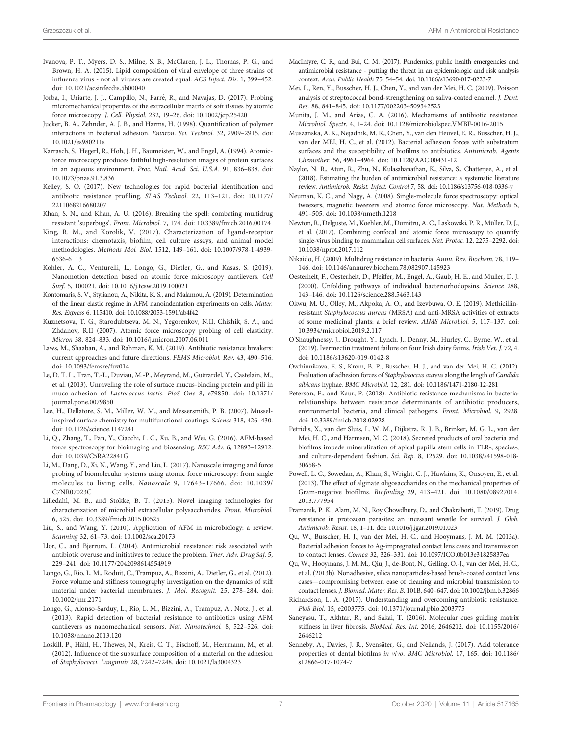- <span id="page-8-0"></span>Ivanova, P. T., Myers, D. S., Milne, S. B., McClaren, J. L., Thomas, P. G., and Brown, H. A. (2015). Lipid composition of viral envelope of three strains of influenza virus - not all viruses are created equal. ACS Infect. Dis. 1, 399–452. doi: [10.1021/acsinfecdis.5b00040](https://doi.org/10.1021/acsinfecdis.5b00040)
- Jorba, I., Uriarte, J. J., Campillo, N., Farré, R., and Navajas, D. (2017). Probing micromechanical properties of the extracellular matrix of soft tissues by atomic force microscopy. J. Cell. Physiol. 232, 19–26. doi: [10.1002/jcp.25420](https://doi.org/10.1002/jcp.25420)
- Jucker, B. A., Zehnder, A. J. B., and Harms, H. (1998). Quantification of polymer interactions in bacterial adhesion. Environ. Sci. Technol. 32, 2909–2915. doi: [10.1021/es980211s](https://doi.org/10.1021/es980211s)
- Karrasch, S., Hegerl, R., Hoh, J. H., Baumeister, W., and Engel, A. (1994). Atomicforce microscopy produces faithful high-resolution images of protein surfaces in an aqueous environment. Proc. Natl. Acad. Sci. U.S.A. 91, 836–838. doi: [10.1073/pnas.91.3.836](https://doi.org/10.1073/pnas.91.3.836)
- Kelley, S. O. (2017). New technologies for rapid bacterial identification and antibiotic resistance profiling. SLAS Technol. 22, 113–121. doi: [10.1177/](https://doi.org/10.1177/2211068216680207) [2211068216680207](https://doi.org/10.1177/2211068216680207)
- Khan, S. N., and Khan, A. U. (2016). Breaking the spell: combating multidrug resistant 'superbugs'. Front. Microbiol. 7, 174. doi: [10.3389/fmicb.2016.00174](https://doi.org/10.3389/fmicb.2016.00174)
- King, R. M., and Korolik, V. (2017). Characterization of ligand-receptor interactions: chemotaxis, biofilm, cell culture assays, and animal model methodologies. Methods Mol. Biol. 1512, 149–161. doi: [10.1007/978-1-4939-](https://doi.org/10.1007/978-1-4939-6536-6_13) [6536-6\\_13](https://doi.org/10.1007/978-1-4939-6536-6_13)
- Kohler, A. C., Venturelli, L., Longo, G., Dietler, G., and Kasas, S. (2019). Nanomotion detection based on atomic force microscopy cantilevers. Cell Surf. 5, 100021. doi: [10.1016/j.tcsw.2019.100021](https://doi.org/10.1016/j.tcsw.2019.100021)
- Kontomaris, S. V., Stylianou, A., Nikita, K. S., and Malamou, A. (2019). Determination of the linear elastic regime in AFM nanoindentation experiments on cells. Mater. Res. Express 6, 115410. doi: [10.1088/2053-1591/ab4f42](https://doi.org/10.1088/2053-1591/ab4f42)
- Kuznetsova, T. G., Starodubtseva, M. N., Yegorenkov, N.II, Chizhik, S. A., and Zhdanov, R.II (2007). Atomic force microscopy probing of cell elasticity. Micron 38, 824–833. doi: [10.1016/j.micron.2007.06.011](https://doi.org/10.1016/j.micron.2007.06.011)
- Laws, M., Shaaban, A., and Rahman, K. M. (2019). Antibiotic resistance breakers: current approaches and future directions. FEMS Microbiol. Rev. 43, 490–516. doi: [10.1093/femsre/fuz014](https://doi.org/10.1093/femsre/fuz014)
- Le, D. T. L., Tran, T.-L., Duviau, M.-P., Meyrand, M., Guérardel, Y., Castelain, M., et al. (2013). Unraveling the role of surface mucus-binding protein and pili in muco-adhesion of Lactococcus lactis. PloS One 8, e79850. doi: [10.1371/](https://doi.org/10.1371/journal.pone.0079850) [journal.pone.0079850](https://doi.org/10.1371/journal.pone.0079850)
- Lee, H., Dellatore, S. M., Miller, W. M., and Messersmith, P. B. (2007). Musselinspired surface chemistry for multifunctional coatings. Science 318, 426–430. doi: [10.1126/science.1147241](https://doi.org/10.1126/science.1147241)
- Li, Q., Zhang, T., Pan, Y., Ciacchi, L. C., Xu, B., and Wei, G. (2016). AFM-based force spectroscopy for bioimaging and biosensing. RSC Adv. 6, 12893–12912. doi: [10.1039/C5RA22841G](https://doi.org/10.1039/C5RA22841G)
- Li, M., Dang, D., Xi, N., Wang, Y., and Liu, L. (2017). Nanoscale imaging and force probing of biomolecular systems using atomic force microscopy: from single molecules to living cells. Nanoscale 9, 17643–17666. doi: [10.1039/](https://doi.org/10.1039/C7NR07023C) [C7NR07023C](https://doi.org/10.1039/C7NR07023C)
- Lilledahl, M. B., and Stokke, B. T. (2015). Novel imaging technologies for characterization of microbial extracellular polysaccharides. Front. Microbiol. 6, 525. doi: [10.3389/fmicb.2015.00525](https://doi.org/10.3389/fmicb.2015.00525)
- Liu, S., and Wang, Y. (2010). Application of AFM in microbiology: a review. Scanning 32, 61–73. doi: [10.1002/sca.20173](https://doi.org/10.1002/sca.20173)
- Llor, C., and Bjerrum, L. (2014). Antimicrobial resistance: risk associated with antibiotic overuse and initiatives to reduce the problem. Ther. Adv. Drug Saf. 5, 229–241. doi: [10.1177/2042098614554919](https://doi.org/10.1177/2042098614554919)
- Longo, G., Rio, L. M., Roduit, C., Trampuz, A., Bizzini, A., Dietler, G., et al. (2012). Force volume and stiffness tomography investigation on the dynamics of stiff material under bacterial membranes. J. Mol. Recognit. 25, 278–284. doi: [10.1002/jmr.2171](https://doi.org/10.1002/jmr.2171)
- Longo, G., Alonso-Sarduy, L., Rio, L. M., Bizzini, A., Trampuz, A., Notz, J., et al. (2013). Rapid detection of bacterial resistance to antibiotics using AFM cantilevers as nanomechanical sensors. Nat. Nanotechnol. 8, 522–526. doi: [10.1038/nnano.2013.120](https://doi.org/10.1038/nnano.2013.120)
- Loskill, P., Hähl, H., Thewes, N., Kreis, C. T., Bischoff, M., Herrmann, M., et al. (2012). Influence of the subsurface composition of a material on the adhesion of Staphylococci. Langmuir 28, 7242–7248. doi: [10.1021/la3004323](https://doi.org/10.1021/la3004323)
- MacIntyre, C. R., and Bui, C. M. (2017). Pandemics, public health emergencies and antimicrobial resistance - putting the threat in an epidemiologic and risk analysis context. Arch. Public Health 75, 54–54. doi: [10.1186/s13690-017-0223-7](https://doi.org/10.1186/s13690-017-0223-7)
- Mei, L., Ren, Y., Busscher, H. J., Chen, Y., and van der Mei, H. C. (2009). Poisson analysis of streptococcal bond-strengthening on saliva-coated enamel. J. Dent. Res. 88, 841–845. doi: [10.1177/0022034509342523](https://doi.org/10.1177/0022034509342523)
- Munita, J. M., and Arias, C. A. (2016). Mechanisms of antibiotic resistance. Microbiol. Spectr. 4, 1–24. doi: [10.1128/microbiolspec.VMBF-0016-2015](https://doi.org/10.1128/microbiolspec.VMBF-0016-2015)
- Muszanska, A. K., Nejadnik, M. R., Chen, Y., van den Heuvel, E. R., Busscher, H. J., van der MEI, H. C., et al. (2012). Bacterial adhesion forces with substratum surfaces and the susceptibility of biofilms to antibiotics. Antimicrob. Agents Chemother. 56, 4961–4964. doi: [10.1128/AAC.00431-12](https://doi.org/10.1128/AAC.00431-12)
- Naylor, N. R., Atun, R., Zhu, N., Kulasabanathan, K., Silva, S., Chatterjee, A., et al. (2018). Estimating the burden of antimicrobial resistance: a systematic literature review. Antimicrob. Resist. Infect. Control 7, 58. doi: [10.1186/s13756-018-0336-y](https://doi.org/10.1186/s13756-018-0336-y)
- Neuman, K. C., and Nagy, A. (2008). Single-molecule force spectroscopy: optical tweezers, magnetic tweezers and atomic force microscopy. Nat. Methods 5, 491–505. doi: [10.1038/nmeth.1218](https://doi.org/10.1038/nmeth.1218)
- Newton, R., Delguste, M., Koehler, M., Dumitru, A. C., Laskowski, P. R., Müller, D. J., et al. (2017). Combining confocal and atomic force microscopy to quantify single-virus binding to mammalian cell surfaces. Nat. Protoc. 12, 2275–2292. doi: [10.1038/nprot.2017.112](https://doi.org/10.1038/nprot.2017.112)
- Nikaido, H. (2009). Multidrug resistance in bacteria. Annu. Rev. Biochem. 78, 119– 146. doi: [10.1146/annurev.biochem.78.082907.145923](https://doi.org/10.1146/annurev.biochem.78.082907.145923)
- Oesterhelt, F., Oesterhelt, D., Pfeiffer, M., Engel, A., Gaub, H. E., and Muller, D. J. (2000). Unfolding pathways of individual bacteriorhodopsins. Science 288, 143–146. doi: [10.1126/science.288.5463.143](https://doi.org/10.1126/science.288.5463.143)
- Okwu, M. U., Olley, M., Akpoka, A. O., and Izevbuwa, O. E. (2019). Methicillinresistant Staphylococcus aureus (MRSA) and anti-MRSA activities of extracts of some medicinal plants: a brief review. AIMS Microbiol. 5, 117–137. doi: [10.3934/microbiol.2019.2.117](https://doi.org/10.3934/microbiol.2019.2.117)
- O'Shaughnessy, J., Drought, Y., Lynch, J., Denny, M., Hurley, C., Byrne, W., et al. (2019). Ivermectin treatment failure on four Irish dairy farms. Irish Vet. J. 72, 4. doi: [10.1186/s13620-019-0142-8](https://doi.org/10.1186/s13620-019-0142-8)
- Ovchinnikova, E. S., Krom, B. P., Busscher, H. J., and van der Mei, H. C. (2012). Evaluation of adhesion forces of Staphylococcus aureus along the length of Candida albicans hyphae. BMC Microbiol. 12, 281. doi: [10.1186/1471-2180-12-281](https://doi.org/10.1186/1471-2180-12-281)
- Peterson, E., and Kaur, P. (2018). Antibiotic resistance mechanisms in bacteria: relationships between resistance determinants of antibiotic producers, environmental bacteria, and clinical pathogens. Front. Microbiol. 9, 2928. doi: [10.3389/fmicb.2018.02928](https://doi.org/10.3389/fmicb.2018.02928)
- Petridis, X., van der Sluis, L. W. M., Dijkstra, R. J. B., Brinker, M. G. L., van der Mei, H. C., and Harmsen, M. C. (2018). Secreted products of oral bacteria and biofilms impede mineralization of apical papilla stem cells in TLR-, species-, and culture-dependent fashion. Sci. Rep. 8, 12529. doi: [10.1038/s41598-018-](https://doi.org/10.1038/s41598-018-30658-5) [30658-5](https://doi.org/10.1038/s41598-018-30658-5)
- Powell, L. C., Sowedan, A., Khan, S., Wright, C. J., Hawkins, K., Onsoyen, E., et al. (2013). The effect of alginate oligosaccharides on the mechanical properties of Gram-negative biofilms. Biofouling 29, 413–421. doi: [10.1080/08927014.](https://doi.org/10.1080/08927014.2013.777954) [2013.777954](https://doi.org/10.1080/08927014.2013.777954)
- Pramanik, P. K., Alam, M. N., Roy Chowdhury, D., and Chakraborti, T. (2019). Drug resistance in protozoan parasites: an incessant wrestle for survival. J. Glob. Antimicrob. Resist. 18, 1–11. doi: [10.1016/j.jgar.2019.01.023](https://doi.org/10.1016/j.jgar.2019.01.023)
- Qu, W., Busscher, H. J., van der Mei, H. C., and Hooymans, J. M. M. (2013a). Bacterial adhesion forces to Ag-impregnated contact lens cases and transmission to contact lenses. Cornea 32, 326–331. doi: [10.1097/ICO.0b013e31825837ea](https://doi.org/10.1097/ICO.0b013e31825837ea)
- Qu, W., Hooymans, J. M. M., Qiu, J., de-Bont, N., Gelling, O.-J., van der Mei, H. C., et al. (2013b). Nonadhesive, silica nanoparticles-based brush-coated contact lens cases—compromising between ease of cleaning and microbial transmission to contact lenses. J. Biomed. Mater. Res. B. 101B, 640–647. doi: [10.1002/jbm.b.32866](https://doi.org/10.1002/jbm.b.32866)
- Richardson, L. A. (2017). Understanding and overcoming antibiotic resistance. PloS Biol. 15, e2003775. doi: [10.1371/journal.pbio.2003775](https://doi.org/10.1371/journal.pbio.2003775)
- Saneyasu, T., Akhtar, R., and Sakai, T. (2016). Molecular cues guiding matrix stiffness in liver fibrosis. BioMed. Res. Int. 2016, 2646212. doi: [10.1155/2016/](https://doi.org/10.1155/2016/2646212) [2646212](https://doi.org/10.1155/2016/2646212)
- Senneby, A., Davies, J. R., Svensäter, G., and Neilands, J. (2017). Acid tolerance properties of dental biofilms in vivo. BMC Microbiol. 17, 165. doi: [10.1186/](https://doi.org/10.1186/s12866-017-1074-7) [s12866-017-1074-7](https://doi.org/10.1186/s12866-017-1074-7)